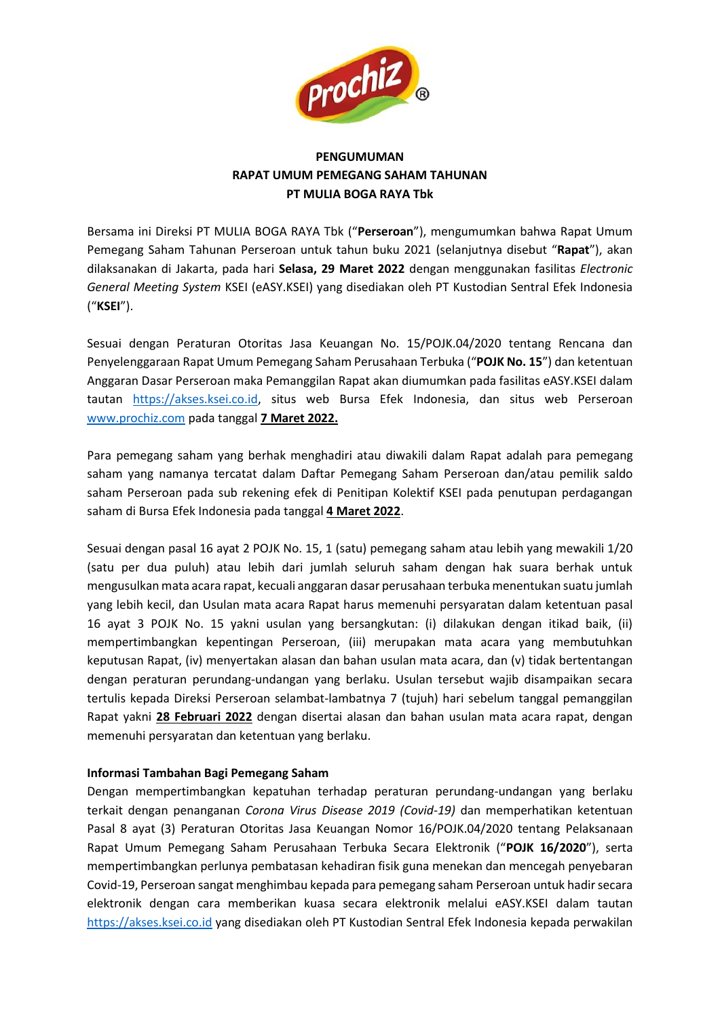

## **PENGUMUMAN RAPAT UMUM PEMEGANG SAHAM TAHUNAN PT MULIA BOGA RAYA Tbk**

Bersama ini Direksi PT MULIA BOGA RAYA Tbk ("**Perseroan**"), mengumumkan bahwa Rapat Umum Pemegang Saham Tahunan Perseroan untuk tahun buku 2021 (selanjutnya disebut "**Rapat**"), akan dilaksanakan di Jakarta, pada hari **Selasa, 29 Maret 2022** dengan menggunakan fasilitas *Electronic General Meeting System* KSEI (eASY.KSEI) yang disediakan oleh PT Kustodian Sentral Efek Indonesia ("**KSEI**").

Sesuai dengan Peraturan Otoritas Jasa Keuangan No. 15/POJK.04/2020 tentang Rencana dan Penyelenggaraan Rapat Umum Pemegang Saham Perusahaan Terbuka ("**POJK No. 15**") dan ketentuan Anggaran Dasar Perseroan maka Pemanggilan Rapat akan diumumkan pada fasilitas eASY.KSEI dalam tautan [https://akses.ksei.co.id,](https://akses.ksei.co.id/) situs web Bursa Efek Indonesia, dan situs web Perseroan [www.prochiz.com](http://www.prochiz.com/) pada tanggal **7 Maret 2022.**

Para pemegang saham yang berhak menghadiri atau diwakili dalam Rapat adalah para pemegang saham yang namanya tercatat dalam Daftar Pemegang Saham Perseroan dan/atau pemilik saldo saham Perseroan pada sub rekening efek di Penitipan Kolektif KSEI pada penutupan perdagangan saham di Bursa Efek Indonesia pada tanggal **4 Maret 2022**.

Sesuai dengan pasal 16 ayat 2 POJK No. 15, 1 (satu) pemegang saham atau lebih yang mewakili 1/20 (satu per dua puluh) atau lebih dari jumlah seluruh saham dengan hak suara berhak untuk mengusulkan mata acara rapat, kecuali anggaran dasar perusahaan terbuka menentukan suatu jumlah yang lebih kecil, dan Usulan mata acara Rapat harus memenuhi persyaratan dalam ketentuan pasal 16 ayat 3 POJK No. 15 yakni usulan yang bersangkutan: (i) dilakukan dengan itikad baik, (ii) mempertimbangkan kepentingan Perseroan, (iii) merupakan mata acara yang membutuhkan keputusan Rapat, (iv) menyertakan alasan dan bahan usulan mata acara, dan (v) tidak bertentangan dengan peraturan perundang-undangan yang berlaku. Usulan tersebut wajib disampaikan secara tertulis kepada Direksi Perseroan selambat-lambatnya 7 (tujuh) hari sebelum tanggal pemanggilan Rapat yakni **28 Februari 2022** dengan disertai alasan dan bahan usulan mata acara rapat, dengan memenuhi persyaratan dan ketentuan yang berlaku.

## **Informasi Tambahan Bagi Pemegang Saham**

Dengan mempertimbangkan kepatuhan terhadap peraturan perundang-undangan yang berlaku terkait dengan penanganan *Corona Virus Disease 2019 (Covid-19)* dan memperhatikan ketentuan Pasal 8 ayat (3) Peraturan Otoritas Jasa Keuangan Nomor 16/POJK.04/2020 tentang Pelaksanaan Rapat Umum Pemegang Saham Perusahaan Terbuka Secara Elektronik ("**POJK 16/2020**"), serta mempertimbangkan perlunya pembatasan kehadiran fisik guna menekan dan mencegah penyebaran Covid-19, Perseroan sangat menghimbau kepada para pemegang saham Perseroan untuk hadir secara elektronik dengan cara memberikan kuasa secara elektronik melalui eASY.KSEI dalam tautan [https://akses.ksei.co.id](https://akses.ksei.co.id/) yang disediakan oleh PT Kustodian Sentral Efek Indonesia kepada perwakilan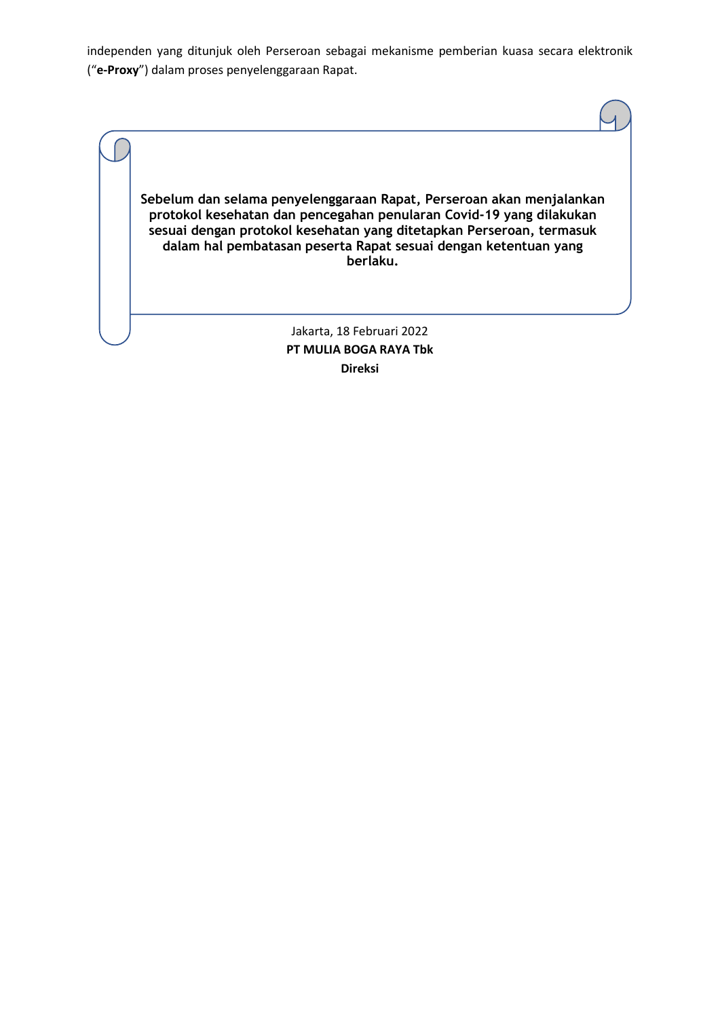independen yang ditunjuk oleh Perseroan sebagai mekanisme pemberian kuasa secara elektronik ("**e-Proxy**") dalam proses penyelenggaraan Rapat.

**Sebelum dan selama penyelenggaraan Rapat, Perseroan akan menjalankan protokol kesehatan dan pencegahan penularan Covid-19 yang dilakukan sesuai dengan protokol kesehatan yang ditetapkan Perseroan, termasuk dalam hal pembatasan peserta Rapat sesuai dengan ketentuan yang berlaku.**

> Jakarta, 18 Februari 2022 **PT MULIA BOGA RAYA Tbk Direksi**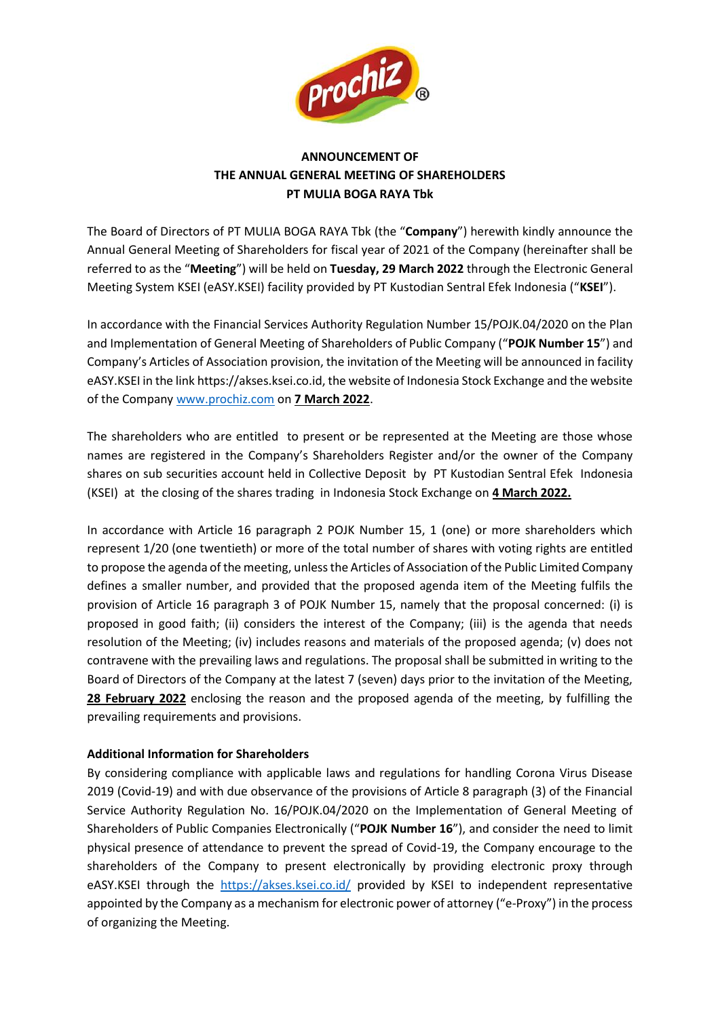

## **ANNOUNCEMENT OF THE ANNUAL GENERAL MEETING OF SHAREHOLDERS PT MULIA BOGA RAYA Tbk**

The Board of Directors of PT MULIA BOGA RAYA Tbk (the "**Company**") herewith kindly announce the Annual General Meeting of Shareholders for fiscal year of 2021 of the Company (hereinafter shall be referred to as the "**Meeting**") will be held on **Tuesday, 29 March 2022** through the Electronic General Meeting System KSEI (eASY.KSEI) facility provided by PT Kustodian Sentral Efek Indonesia ("**KSEI**").

In accordance with the Financial Services Authority Regulation Number 15/POJK.04/2020 on the Plan and Implementation of General Meeting of Shareholders of Public Company ("**POJK Number 15**") and Company's Articles of Association provision, the invitation of the Meeting will be announced in facility eASY.KSEI in the link https://akses.ksei.co.id, the website of Indonesia Stock Exchange and the website of the Company [www.prochiz.com](http://www.prochiz.com/) on **7 March 2022**.

The shareholders who are entitled to present or be represented at the Meeting are those whose names are registered in the Company's Shareholders Register and/or the owner of the Company shares on sub securities account held in Collective Deposit by PT Kustodian Sentral Efek Indonesia (KSEI) at the closing of the shares trading in Indonesia Stock Exchange on **4 March 2022.**

In accordance with Article 16 paragraph 2 POJK Number 15, 1 (one) or more shareholders which represent 1/20 (one twentieth) or more of the total number of shares with voting rights are entitled to propose the agenda of the meeting, unless the Articles of Association of the Public Limited Company defines a smaller number, and provided that the proposed agenda item of the Meeting fulfils the provision of Article 16 paragraph 3 of POJK Number 15, namely that the proposal concerned: (i) is proposed in good faith; (ii) considers the interest of the Company; (iii) is the agenda that needs resolution of the Meeting; (iv) includes reasons and materials of the proposed agenda; (v) does not contravene with the prevailing laws and regulations. The proposal shall be submitted in writing to the Board of Directors of the Company at the latest 7 (seven) days prior to the invitation of the Meeting, **28 February 2022** enclosing the reason and the proposed agenda of the meeting, by fulfilling the prevailing requirements and provisions.

## **Additional Information for Shareholders**

By considering compliance with applicable laws and regulations for handling Corona Virus Disease 2019 (Covid-19) and with due observance of the provisions of Article 8 paragraph (3) of the Financial Service Authority Regulation No. 16/POJK.04/2020 on the Implementation of General Meeting of Shareholders of Public Companies Electronically ("**POJK Number 16**"), and consider the need to limit physical presence of attendance to prevent the spread of Covid-19, the Company encourage to the shareholders of the Company to present electronically by providing electronic proxy through eASY.KSEI through the <https://akses.ksei.co.id/> provided by KSEI to independent representative appointed by the Company as a mechanism for electronic power of attorney ("e-Proxy") in the process of organizing the Meeting.